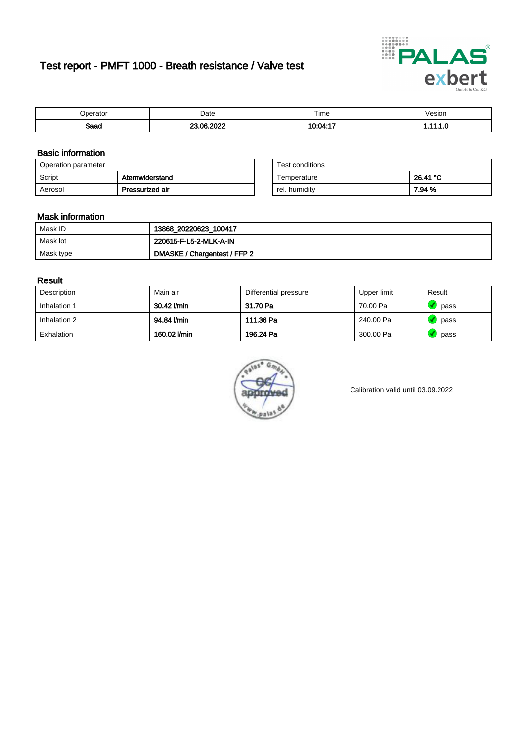# Test report - PMFT 1000 - Breath resistance / Valve test



| berator     | Date  | Time    | /esion |
|-------------|-------|---------|--------|
| <b>Roon</b> | .000c |         | .      |
| oaau        | ne.   | - -     |        |
|             | w.    | 1ሰ ሰ4 ፡ |        |

### Basic information

| Operation parameter |                 | Test conditions |          |
|---------------------|-----------------|-----------------|----------|
| Script              | Atemwiderstand  | Temperature     | 26.41 °C |
| Aerosol             | Pressurized air | rel. humidity   | 7.94 %   |

| Test conditions |          |
|-----------------|----------|
| Temperature     | 26.41 °C |
| rel. humidity   | 7.94 %   |

### Mask information

| Mask ID   | 13868_20220623_100417        |
|-----------|------------------------------|
| Mask lot  | 220615-F-L5-2-MLK-A-IN       |
| Mask type | DMASKE / Chargentest / FFP 2 |

### Result

| Description  | Main air     | Differential pressure | Upper limit | Result |
|--------------|--------------|-----------------------|-------------|--------|
| Inhalation 1 | 30.42 l/min  | 31.70 Pa              | 70.00 Pa    | pass   |
| Inhalation 2 | 94.84 l/min  | 111.36 Pa             | 240.00 Pa   | pass   |
| Exhalation   | 160.02 l/min | 196.24 Pa             | 300.00 Pa   | pass   |



Calibration valid until 03.09.2022